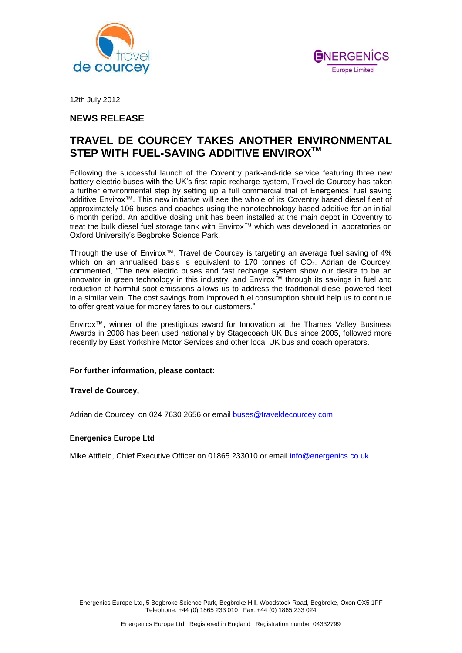



12th July 2012

## **NEWS RELEASE**

# **TRAVEL DE COURCEY TAKES ANOTHER ENVIRONMENTAL STEP WITH FUEL-SAVING ADDITIVE ENVIROXTM**

Following the successful launch of the Coventry park-and-ride service featuring three new battery-electric buses with the UK's first rapid recharge system, Travel de Courcey has taken a further environmental step by setting up a full commercial trial of Energenics' fuel saving additive Envirox™. This new initiative will see the whole of its Coventry based diesel fleet of approximately 106 buses and coaches using the nanotechnology based additive for an initial 6 month period. An additive dosing unit has been installed at the main depot in Coventry to treat the bulk diesel fuel storage tank with Envirox™ which was developed in laboratories on Oxford University's Begbroke Science Park,

Through the use of Envirox™, Travel de Courcey is targeting an average fuel saving of 4% which on an annualised basis is equivalent to 170 tonnes of  $CO<sub>2</sub>$ . Adrian de Courcey, commented, "The new electric buses and fast recharge system show our desire to be an innovator in green technology in this industry, and Envirox™ through its savings in fuel and reduction of harmful soot emissions allows us to address the traditional diesel powered fleet in a similar vein. The cost savings from improved fuel consumption should help us to continue to offer great value for money fares to our customers."

Envirox™, winner of the prestigious award for Innovation at the Thames Valley Business Awards in 2008 has been used nationally by Stagecoach UK Bus since 2005, followed more recently by East Yorkshire Motor Services and other local UK bus and coach operators.

#### **For further information, please contact:**

## **Travel de Courcey,**

Adrian de Courcey, on 024 7630 2656 or email [buses@traveldecourcey.com](mailto:buses@traveldecourcey.com)

#### **Energenics Europe Ltd**

Mike Attfield, Chief Executive Officer on 01865 233010 or email [info@energenics.co.uk](mailto:info@energenics.co.uk)